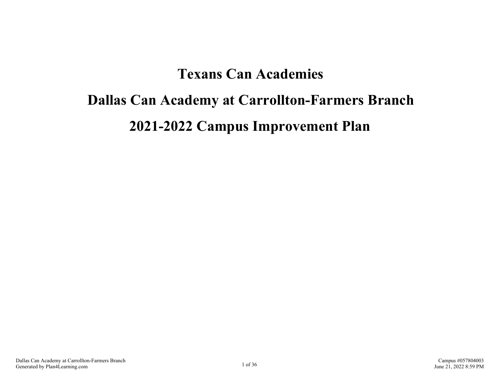## **Texans Can Academies**

# **Dallas Can Academy at Carrollton-Farmers Branch 2021-2022 Campus Improvement Plan**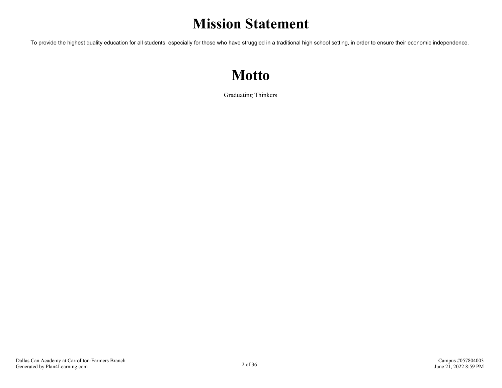## **Mission Statement**

To provide the highest quality education for all students, especially for those who have struggled in a traditional high school setting, in order to ensure their economic independence.

## **Motto**

Graduating Thinkers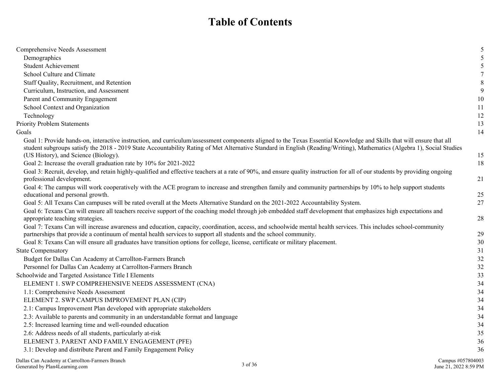## **Table of Contents**

| Comprehensive Needs Assessment                                                                                                                                                                                                                                                                                                                   | 5          |
|--------------------------------------------------------------------------------------------------------------------------------------------------------------------------------------------------------------------------------------------------------------------------------------------------------------------------------------------------|------------|
| Demographics                                                                                                                                                                                                                                                                                                                                     |            |
| <b>Student Achievement</b>                                                                                                                                                                                                                                                                                                                       | 5          |
| School Culture and Climate                                                                                                                                                                                                                                                                                                                       | 7          |
| Staff Quality, Recruitment, and Retention                                                                                                                                                                                                                                                                                                        | 8          |
| Curriculum, Instruction, and Assessment                                                                                                                                                                                                                                                                                                          | 9          |
| Parent and Community Engagement                                                                                                                                                                                                                                                                                                                  | 10         |
| School Context and Organization                                                                                                                                                                                                                                                                                                                  | 11         |
| Technology                                                                                                                                                                                                                                                                                                                                       | 12         |
| <b>Priority Problem Statements</b>                                                                                                                                                                                                                                                                                                               | 13         |
| Goals                                                                                                                                                                                                                                                                                                                                            | 14         |
| Goal 1: Provide hands-on, interactive instruction, and curriculum/assessment components aligned to the Texas Essential Knowledge and Skills that will ensure that all<br>student subgroups satisfy the 2018 - 2019 State Accountability Rating of Met Alternative Standard in English (Reading/Writing), Mathematics (Algebra 1), Social Studies |            |
| (US History), and Science (Biology).                                                                                                                                                                                                                                                                                                             | 15         |
| Goal 2: Increase the overall graduation rate by 10% for 2021-2022                                                                                                                                                                                                                                                                                | 18         |
| Goal 3: Recruit, develop, and retain highly-qualified and effective teachers at a rate of 90%, and ensure quality instruction for all of our students by providing ongoing<br>professional development.                                                                                                                                          | 21         |
| Goal 4: The campus will work cooperatively with the ACE program to increase and strengthen family and community partnerships by 10% to help support students                                                                                                                                                                                     |            |
| educational and personal growth.                                                                                                                                                                                                                                                                                                                 | 25         |
| Goal 5: All Texans Can campuses will be rated overall at the Meets Alternative Standard on the 2021-2022 Accountability System.                                                                                                                                                                                                                  | 27         |
| Goal 6: Texans Can will ensure all teachers receive support of the coaching model through job embedded staff development that emphasizes high expectations and<br>appropriate teaching strategies.                                                                                                                                               | 28         |
| Goal 7: Texans Can will increase awareness and education, capacity, coordination, access, and schoolwide mental health services. This includes school-community<br>partnerships that provide a continuum of mental health services to support all students and the school community.                                                             | 29         |
| Goal 8: Texans Can will ensure all graduates have transition options for college, license, certificate or military placement.                                                                                                                                                                                                                    | 30         |
| <b>State Compensatory</b>                                                                                                                                                                                                                                                                                                                        | 31         |
| Budget for Dallas Can Academy at Carrollton-Farmers Branch                                                                                                                                                                                                                                                                                       | 32         |
| Personnel for Dallas Can Academy at Carrollton-Farmers Branch                                                                                                                                                                                                                                                                                    | 32         |
| Schoolwide and Targeted Assistance Title I Elements                                                                                                                                                                                                                                                                                              | 33         |
| ELEMENT 1. SWP COMPREHENSIVE NEEDS ASSESSMENT (CNA)                                                                                                                                                                                                                                                                                              | 34         |
| 1.1: Comprehensive Needs Assessment                                                                                                                                                                                                                                                                                                              | 34         |
| ELEMENT 2. SWP CAMPUS IMPROVEMENT PLAN (CIP)                                                                                                                                                                                                                                                                                                     | 34         |
| 2.1: Campus Improvement Plan developed with appropriate stakeholders                                                                                                                                                                                                                                                                             | 34         |
| 2.3: Available to parents and community in an understandable format and language                                                                                                                                                                                                                                                                 | 34         |
| 2.5: Increased learning time and well-rounded education                                                                                                                                                                                                                                                                                          | 34         |
| 2.6: Address needs of all students, particularly at-risk                                                                                                                                                                                                                                                                                         | 35         |
| ELEMENT 3. PARENT AND FAMILY ENGAGEMENT (PFE)                                                                                                                                                                                                                                                                                                    | 36         |
| 3.1: Develop and distribute Parent and Family Engagement Policy                                                                                                                                                                                                                                                                                  | 36         |
| $\mathbf{D} \mathbf{H}$ and $\mathbf{A}$ and $\mathbf{H}$ and $\mathbf{H}$ and $\mathbf{H}$ and $\mathbf{H}$ and $\mathbf{H}$ and $\mathbf{H}$ and $\mathbf{H}$ and $\mathbf{H}$ and $\mathbf{H}$ and $\mathbf{H}$ and $\mathbf{H}$ and $\mathbf{H}$ and $\mathbf{H}$ and $\mathbf{H}$ and $\mathbf{H}$                                          | $\sqrt{2}$ |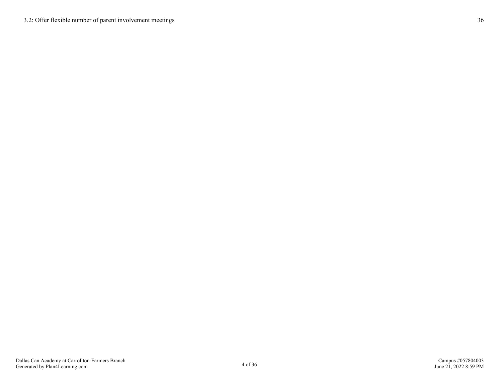[3.2: Offer flexible number of parent involvement meetings](#page-35-0) [36](#page-35-0)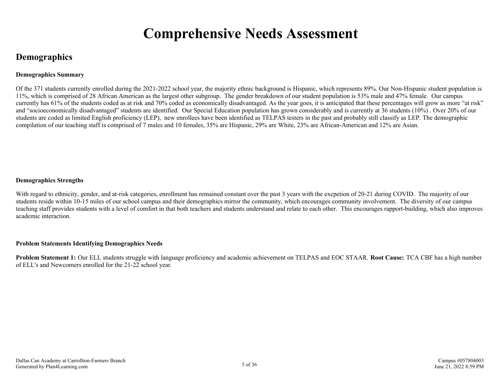## **Comprehensive Needs Assessment**

## <span id="page-4-0"></span>**Demographics**

#### **Demographics Summary**

Of the 371 students currently enrolled during the 2021-2022 school year, the majority ethnic background is Hispanic, which represents 89%. Our Non-Hispanic student population is 11%, which is comprised of 28 African American as the largest other subgroup. The gender breakdown of our student population is 53% male and 47% female. Our campus currently has 61% of the students coded as at risk and 70% coded as economically disadvantaged. As the year goes, it is anticipated that these percentages will grow as more "at risk" and "socioeconomically disadvantaged" students are identified. Our Special Education population has grown considerably and is currently at 36 students (10%) . Over 20% of our students are coded as limited English proficiency (LEP), new enrollees have been identified as TELPAS testers in the past and probably still classify as LEP. The demographic compilation of our teaching staff is comprised of 7 males and 10 females, 35% are Hispanic, 29% are White, 23% are African-American and 12% are Asian.

#### **Demographics Strengths**

With regard to ethnicity, gender, and at-risk categories, enrollment has remained constant over the past 3 years with the excpetion of 20-21 during COVID. The majority of our students reside within 10-15 miles of our school campus and their demographics mirror the community, which encourages community involvement. The diversity of our campus teaching staff provides students with a level of comfort in that both teachers and students understand and relate to each other. This encourages rapport-building, which also improves academic interaction.

#### **Problem Statements Identifying Demographics Needs**

**Problem Statement 1:** Our ELL students struggle with language proficiency and academic achievement on TELPAS and EOC STAAR. **Root Cause:** TCA CBF has a high number of ELL's and Newcomers enrolled for the 21-22 school year.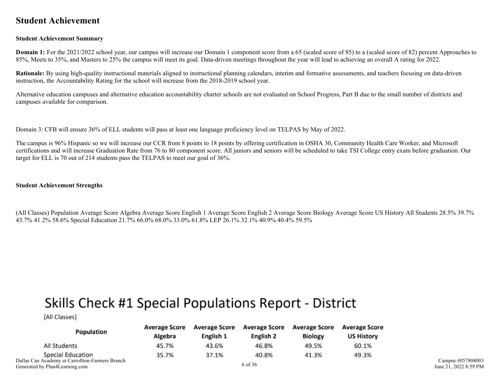### <span id="page-5-0"></span>**Student Achievement**

#### **Student Achievement Summary**

**Domain 1:** For the 2021/2022 school year, our campus will increase our Domain 1 component score from a 65 (scaled score of 85) to a (scaled score of 82) percent Approaches to 85%, Meets to 35%, and Masters to 25% the campus will meet its goal. Data-driven meetings throughout the year will lead to achieving an overall A rating for 2022.

**Rationale:** By using high-quality instructional materials aligned to instructional planning calendars, interim and formative assessments, and teachers focusing on data-driven instruction, the Accountability Rating for the school will increase from the 2018-2019 school year.

Alternative education campuses and alternative education accountability charter schools are not evaluated on School Progress, Part B due to the small number of districts and campuses available for comparison.

Domain 3: CFB will ensure 36% of ELL students will pass at least one language proficiency level on TELPAS by May of 2022.

The campus is 96% Hispanic so we will increase our CCR from 8 points to 18 points by offering certification in OSHA 30, Community Health Care Worker, and Microsoft certifications and will increase Graduation Rate from 76 to 80 component score. All juniors and seniors will be scheduled to take TSI College entry exam before graduation. Our target for ELL is 70 out of 214 students pass the TELPAS to meet our goal of 36%.

#### **Student Achievement Strengths**

(All Classes) Population Average Score Algebra Average Score English 1 Average Score English 2 Average Score Biology Average Score US History All Students 28.5% 39.7% 43.7% 41.2% 58.6% Special Education 21.7% 66.0% 68.0% 33.0% 61.8% LEP 26.1% 32.1% 40.9% 40.4% 59.5%

## Skills Check #1 Special Populations Report - District

(All Classes)

| Population                                                    | <b>Average Score</b><br>Algebra | <b>Average Score</b><br>English 1 | <b>Average Score</b><br>English 2 | <b>Average Score</b><br><b>Biology</b> | <b>Average Score</b><br><b>US History</b> |
|---------------------------------------------------------------|---------------------------------|-----------------------------------|-----------------------------------|----------------------------------------|-------------------------------------------|
| All Students                                                  | 45.7%                           | 43.6%                             | 46.8%                             | 49.5%                                  | 60.1%                                     |
| Special Education<br>Can Academy at Carrollton-Farmers Branch | 35.7%                           | 37.1%                             | 40.8%                             | 41.3%                                  | 49.3%                                     |
|                                                               |                                 |                                   | $\sim$ 0.0 $\sim$                 |                                        |                                           |

Dallas Generated by Plan4Learning.com 6 of 36

Campus #057804003 June 21, 2022 8:59 PM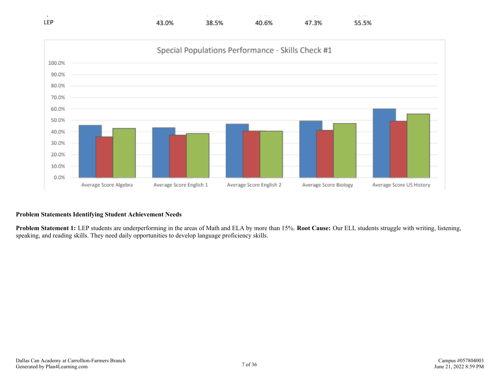



#### **Problem Statements Identifying Student Achievement Needs**

**Problem Statement 1:** LEP students are underperforming in the areas of Math and ELA by more than 15%. **Root Cause:** Our ELL students struggle with writing, listening, speaking, and reading skills. They need daily opportunities to develop language proficiency skills.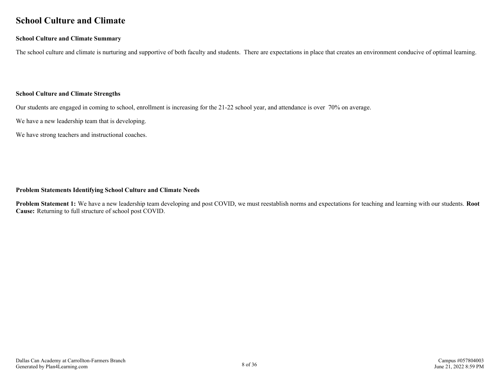### <span id="page-7-0"></span>**School Culture and Climate**

#### **School Culture and Climate Summary**

The school culture and climate is nurturing and supportive of both faculty and students. There are expectations in place that creates an environment conducive of optimal learning.

#### **School Culture and Climate Strengths**

Our students are engaged in coming to school, enrollment is increasing for the 21-22 school year, and attendance is over 70% on average.

We have a new leadership team that is developing.

We have strong teachers and instructional coaches.

#### **Problem Statements Identifying School Culture and Climate Needs**

**Problem Statement 1:** We have a new leadership team developing and post COVID, we must reestablish norms and expectations for teaching and learning with our students. **Root Cause:** Returning to full structure of school post COVID.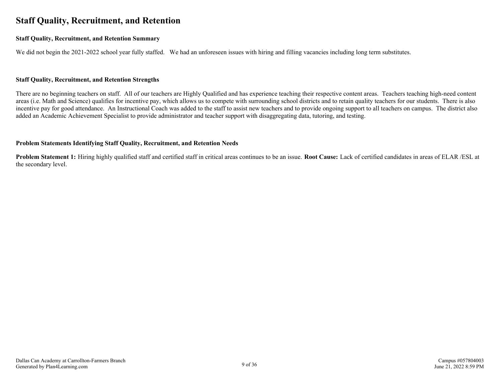## <span id="page-8-0"></span>**Staff Quality, Recruitment, and Retention**

#### **Staff Quality, Recruitment, and Retention Summary**

We did not begin the 2021-2022 school year fully staffed. We had an unforeseen issues with hiring and filling vacancies including long term substitutes.

#### **Staff Quality, Recruitment, and Retention Strengths**

There are no beginning teachers on staff. All of our teachers are Highly Qualified and has experience teaching their respective content areas. Teachers teaching high-need content areas (i.e. Math and Science) qualifies for incentive pay, which allows us to compete with surrounding school districts and to retain quality teachers for our students. There is also incentive pay for good attendance. An Instructional Coach was added to the staff to assist new teachers and to provide ongoing support to all teachers on campus. The district also added an Academic Achievement Specialist to provide administrator and teacher support with disaggregating data, tutoring, and testing.

#### **Problem Statements Identifying Staff Quality, Recruitment, and Retention Needs**

**Problem Statement 1:** Hiring highly qualified staff and certified staff in critical areas continues to be an issue. **Root Cause:** Lack of certified candidates in areas of ELAR /ESL at the secondary level.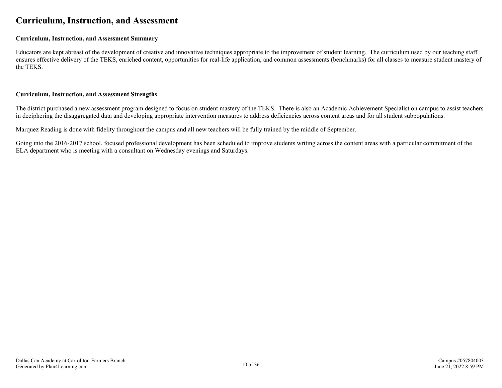### <span id="page-9-0"></span>**Curriculum, Instruction, and Assessment**

#### **Curriculum, Instruction, and Assessment Summary**

Educators are kept abreast of the development of creative and innovative techniques appropriate to the improvement of student learning. The curriculum used by our teaching staff ensures effective delivery of the TEKS, enriched content, opportunities for real-life application, and common assessments (benchmarks) for all classes to measure student mastery of the TEKS.

#### **Curriculum, Instruction, and Assessment Strengths**

The district purchased a new assessment program designed to focus on student mastery of the TEKS. There is also an Academic Achievement Specialist on campus to assist teachers in deciphering the disaggregated data and developing appropriate intervention measures to address deficiencies across content areas and for all student subpopulations.

Marquez Reading is done with fidelity throughout the campus and all new teachers will be fully trained by the middle of September.

Going into the 2016-2017 school, focused professional development has been scheduled to improve students writing across the content areas with a particular commitment of the ELA department who is meeting with a consultant on Wednesday evenings and Saturdays.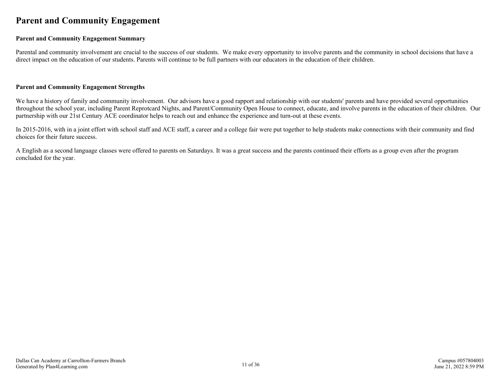## <span id="page-10-0"></span>**Parent and Community Engagement**

#### **Parent and Community Engagement Summary**

Parental and community involvement are crucial to the success of our students. We make every opportunity to involve parents and the community in school decisions that have a direct impact on the education of our students. Parents will continue to be full partners with our educators in the education of their children.

#### **Parent and Community Engagement Strengths**

We have a history of family and community involvement. Our advisors have a good rapport and relationship with our students' parents and have provided several opportunities throughout the school year, including Parent Reprotcard Nights, and Parent/Community Open House to connect, educate, and involve parents in the education of their children. Our partnership with our 21st Century ACE coordinator helps to reach out and enhance the experience and turn-out at these events.

In 2015-2016, with in a joint effort with school staff and ACE staff, a career and a college fair were put together to help students make connections with their community and find choices for their future success.

A English as a second language classes were offered to parents on Saturdays. It was a great success and the parents continued their efforts as a group even after the program concluded for the year.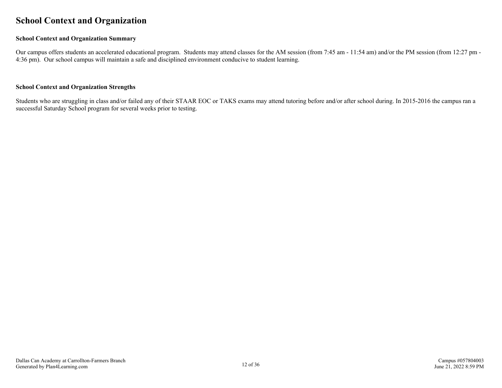### <span id="page-11-0"></span>**School Context and Organization**

#### **School Context and Organization Summary**

Our campus offers students an accelerated educational program. Students may attend classes for the AM session (from 7:45 am - 11:54 am) and/or the PM session (from 12:27 pm - 4:36 pm). Our school campus will maintain a safe and disciplined environment conducive to student learning.

#### **School Context and Organization Strengths**

Students who are struggling in class and/or failed any of their STAAR EOC or TAKS exams may attend tutoring before and/or after school during. In 2015-2016 the campus ran a successful Saturday School program for several weeks prior to testing.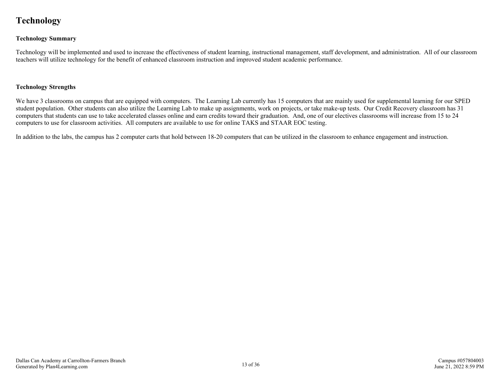## <span id="page-12-0"></span>**Technology**

#### **Technology Summary**

Technology will be implemented and used to increase the effectiveness of student learning, instructional management, staff development, and administration. All of our classroom teachers will utilize technology for the benefit of enhanced classroom instruction and improved student academic performance.

#### **Technology Strengths**

We have 3 classrooms on campus that are equipped with computers. The Learning Lab currently has 15 computers that are mainly used for supplemental learning for our SPED student population. Other students can also utilize the Learning Lab to make up assignments, work on projects, or take make-up tests. Our Credit Recovery classroom has 31 computers that students can use to take accelerated classes online and earn credits toward their graduation. And, one of our electives classrooms will increase from 15 to 24 computers to use for classroom activities. All computers are available to use for online TAKS and STAAR EOC testing.

In addition to the labs, the campus has 2 computer carts that hold between 18-20 computers that can be utilized in the classroom to enhance engagement and instruction.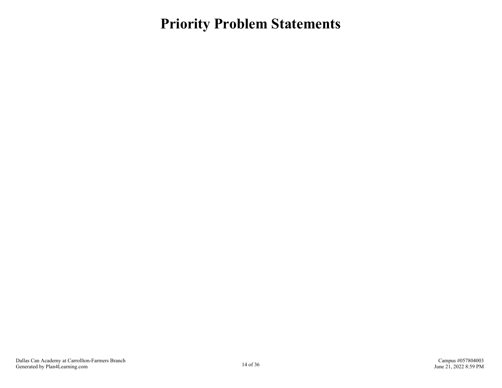<span id="page-13-0"></span>**Priority Problem Statements**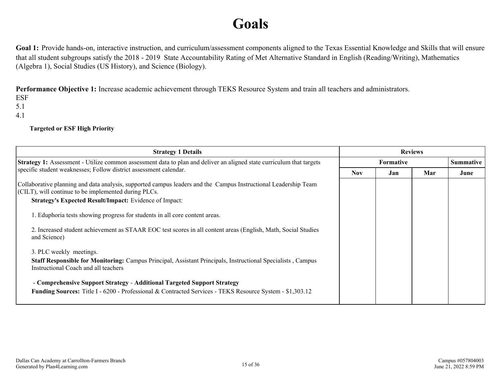## **Goals**

<span id="page-14-0"></span>Goal 1: Provide hands-on, interactive instruction, and curriculum/assessment components aligned to the Texas Essential Knowledge and Skills that will ensure that all student subgroups satisfy the 2018 - 2019 State Accountability Rating of Met Alternative Standard in English (Reading/Writing), Mathematics (Algebra 1), Social Studies (US History), and Science (Biology).

**Performance Objective 1:** Increase academic achievement through TEKS Resource System and train all teachers and administrators.

ESF 5.1

4.1

**Targeted or ESF High Priority**

| <b>Strategy 1 Details</b>                                                                                                                                                                  | <b>Reviews</b> |                  |     |                  |
|--------------------------------------------------------------------------------------------------------------------------------------------------------------------------------------------|----------------|------------------|-----|------------------|
| <b>Strategy 1:</b> Assessment - Utilize common assessment data to plan and deliver an aligned state curriculum that targets                                                                |                | <b>Formative</b> |     | <b>Summative</b> |
| specific student weaknesses; Follow district assessment calendar.                                                                                                                          | <b>Nov</b>     | Jan              | Mar | June             |
| Collaborative planning and data analysis, supported campus leaders and the Campus Instructional Leadership Team<br>$ $ (CILT), will continue to be implemented during PLCs.                |                |                  |     |                  |
| <b>Strategy's Expected Result/Impact:</b> Evidence of Impact:                                                                                                                              |                |                  |     |                  |
| 1. Eduphoria tests showing progress for students in all core content areas.                                                                                                                |                |                  |     |                  |
| 2. Increased student achievement as STAAR EOC test scores in all content areas (English, Math, Social Studies<br>and Science)                                                              |                |                  |     |                  |
| 3. PLC weekly meetings.                                                                                                                                                                    |                |                  |     |                  |
| Staff Responsible for Monitoring: Campus Principal, Assistant Principals, Instructional Specialists, Campus<br>Instructional Coach and all teachers                                        |                |                  |     |                  |
| - Comprehensive Support Strategy - Additional Targeted Support Strategy<br><b>Funding Sources:</b> Title I - 6200 - Professional & Contracted Services - TEKS Resource System - \$1,303.12 |                |                  |     |                  |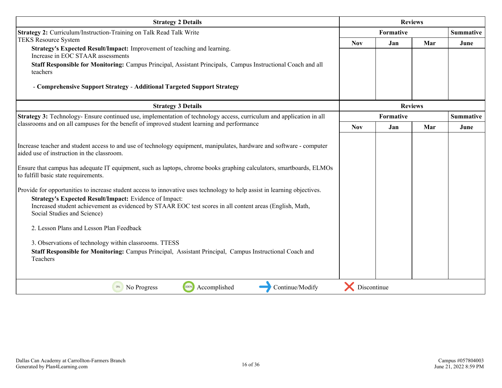| <b>Strategy 2 Details</b>                                                                                                                                                                                                                                                                                                                                                                                                                                                                                                                                                                                                                                                                                                                                                                                                                                                                          | <b>Reviews</b> |                  |     |                  |
|----------------------------------------------------------------------------------------------------------------------------------------------------------------------------------------------------------------------------------------------------------------------------------------------------------------------------------------------------------------------------------------------------------------------------------------------------------------------------------------------------------------------------------------------------------------------------------------------------------------------------------------------------------------------------------------------------------------------------------------------------------------------------------------------------------------------------------------------------------------------------------------------------|----------------|------------------|-----|------------------|
| Strategy 2: Curriculum/Instruction-Training on Talk Read Talk Write                                                                                                                                                                                                                                                                                                                                                                                                                                                                                                                                                                                                                                                                                                                                                                                                                                |                | <b>Formative</b> |     |                  |
| <b>TEKS Resource System</b>                                                                                                                                                                                                                                                                                                                                                                                                                                                                                                                                                                                                                                                                                                                                                                                                                                                                        | <b>Nov</b>     | Jan              | Mar | June             |
| Strategy's Expected Result/Impact: Improvement of teaching and learning.<br>Increase in EOC STAAR assessments                                                                                                                                                                                                                                                                                                                                                                                                                                                                                                                                                                                                                                                                                                                                                                                      |                |                  |     |                  |
| Staff Responsible for Monitoring: Campus Principal, Assistant Principals, Campus Instructional Coach and all<br>teachers                                                                                                                                                                                                                                                                                                                                                                                                                                                                                                                                                                                                                                                                                                                                                                           |                |                  |     |                  |
| - Comprehensive Support Strategy - Additional Targeted Support Strategy                                                                                                                                                                                                                                                                                                                                                                                                                                                                                                                                                                                                                                                                                                                                                                                                                            |                |                  |     |                  |
| <b>Strategy 3 Details</b>                                                                                                                                                                                                                                                                                                                                                                                                                                                                                                                                                                                                                                                                                                                                                                                                                                                                          |                | <b>Reviews</b>   |     |                  |
| Strategy 3: Technology- Ensure continued use, implementation of technology access, curriculum and application in all<br>classrooms and on all campuses for the benefit of improved student learning and performance                                                                                                                                                                                                                                                                                                                                                                                                                                                                                                                                                                                                                                                                                |                | Formative        |     | <b>Summative</b> |
|                                                                                                                                                                                                                                                                                                                                                                                                                                                                                                                                                                                                                                                                                                                                                                                                                                                                                                    | <b>Nov</b>     | Jan              | Mar | June             |
| Increase teacher and student access to and use of technology equipment, manipulates, hardware and software - computer<br>aided use of instruction in the classroom.<br>Ensure that campus has adequate IT equipment, such as laptops, chrome books graphing calculators, smartboards, ELMOs<br>to fulfill basic state requirements.<br>Provide for opportunities to increase student access to innovative uses technology to help assist in learning objectives.<br>Strategy's Expected Result/Impact: Evidence of Impact:<br>Increased student achievement as evidenced by STAAR EOC test scores in all content areas (English, Math,<br>Social Studies and Science)<br>2. Lesson Plans and Lesson Plan Feedback<br>3. Observations of technology within classrooms. TTESS<br>Staff Responsible for Monitoring: Campus Principal, Assistant Principal, Campus Instructional Coach and<br>Teachers |                |                  |     |                  |
| 100%<br>Accomplished<br>Continue/Modify<br>No Progress<br>0%                                                                                                                                                                                                                                                                                                                                                                                                                                                                                                                                                                                                                                                                                                                                                                                                                                       | Discontinue    |                  |     |                  |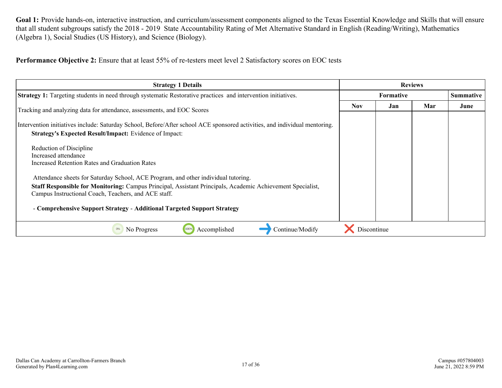Goal 1: Provide hands-on, interactive instruction, and curriculum/assessment components aligned to the Texas Essential Knowledge and Skills that will ensure that all student subgroups satisfy the 2018 - 2019 State Accountability Rating of Met Alternative Standard in English (Reading/Writing), Mathematics (Algebra 1), Social Studies (US History), and Science (Biology).

**Performance Objective 2:** Ensure that at least 55% of re-testers meet level 2 Satisfactory scores on EOC tests

| <b>Strategy 1 Details</b>                                                                                                                                                                                                                                       | <b>Reviews</b> |                  |     |                  |
|-----------------------------------------------------------------------------------------------------------------------------------------------------------------------------------------------------------------------------------------------------------------|----------------|------------------|-----|------------------|
| <b>Strategy 1:</b> Targeting students in need through systematic Restorative practices and intervention initiatives.                                                                                                                                            |                | <b>Formative</b> |     | <b>Summative</b> |
| Tracking and analyzing data for attendance, assessments, and EOC Scores                                                                                                                                                                                         | <b>Nov</b>     | Jan              | Mar | June             |
| Intervention initiatives include: Saturday School, Before/After school ACE sponsored activities, and individual mentoring.<br><b>Strategy's Expected Result/Impact:</b> Evidence of Impact:                                                                     |                |                  |     |                  |
| Reduction of Discipline<br>Increased attendance<br>Increased Retention Rates and Graduation Rates                                                                                                                                                               |                |                  |     |                  |
| Attendance sheets for Saturday School, ACE Program, and other individual tutoring.<br><b>Staff Responsible for Monitoring: Campus Principal, Assistant Principals, Academic Achievement Specialist,</b><br>Campus Instructional Coach, Teachers, and ACE staff. |                |                  |     |                  |
| - Comprehensive Support Strategy - Additional Targeted Support Strategy<br>Accomplished<br>Continue/Modify<br>No Progress<br>100%                                                                                                                               | Discontinue    |                  |     |                  |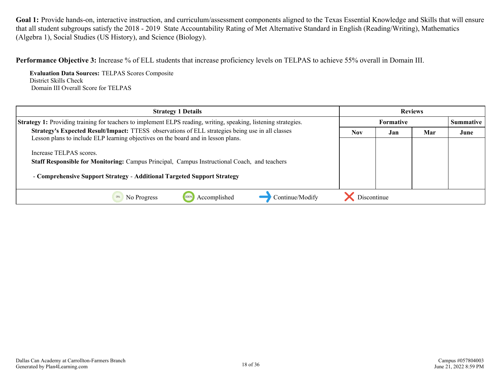Goal 1: Provide hands-on, interactive instruction, and curriculum/assessment components aligned to the Texas Essential Knowledge and Skills that will ensure that all student subgroups satisfy the 2018 - 2019 State Accountability Rating of Met Alternative Standard in English (Reading/Writing), Mathematics (Algebra 1), Social Studies (US History), and Science (Biology).

**Performance Objective 3:** Increase % of ELL students that increase proficiency levels on TELPAS to achieve 55% overall in Domain III.

**Evaluation Data Sources:** TELPAS Scores Composite District Skills Check Domain III Overall Score for TELPAS

| <b>Strategy 1 Details</b>                                                                                                                                                                          | <b>Reviews</b> |           |     |           |
|----------------------------------------------------------------------------------------------------------------------------------------------------------------------------------------------------|----------------|-----------|-----|-----------|
| Strategy 1: Providing training for teachers to implement ELPS reading, writing, speaking, listening strategies.                                                                                    |                | Formative |     | Summative |
| Strategy's Expected Result/Impact: TTESS observations of ELL strategies being use in all classes<br>Lesson plans to include ELP learning objectives on the board and in lesson plans.              | <b>Nov</b>     | Jan       | Mar | June      |
| Increase TELPAS scores.<br>Staff Responsible for Monitoring: Campus Principal, Campus Instructional Coach, and teachers<br>- Comprehensive Support Strategy - Additional Targeted Support Strategy |                |           |     |           |
| Continue/Modify<br>No Progress<br>Accomplished                                                                                                                                                     | Discontinue    |           |     |           |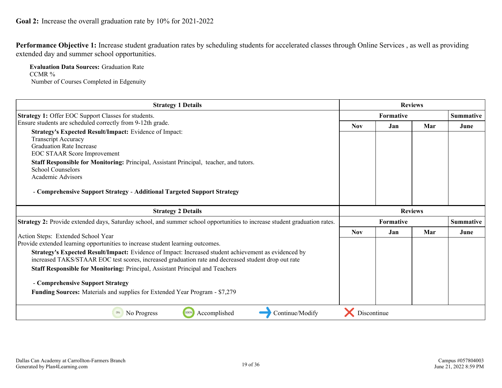<span id="page-18-0"></span>**Performance Objective 1:** Increase student graduation rates by scheduling students for accelerated classes through Online Services , as well as providing extended day and summer school opportunities.

**Evaluation Data Sources:** Graduation Rate CCMR % Number of Courses Completed in Edgenuity

| <b>Strategy 1 Details</b>                                                                                                 | <b>Reviews</b>   |                  |                |                  |
|---------------------------------------------------------------------------------------------------------------------------|------------------|------------------|----------------|------------------|
| <b>Strategy 1: Offer EOC Support Classes for students.</b>                                                                | <b>Formative</b> |                  |                | <b>Summative</b> |
| Ensure students are scheduled correctly from 9-12th grade.                                                                | <b>Nov</b>       | Jan              | Mar            | June             |
| Strategy's Expected Result/Impact: Evidence of Impact:                                                                    |                  |                  |                |                  |
| <b>Transcript Accuracy</b>                                                                                                |                  |                  |                |                  |
| <b>Graduation Rate Increase</b>                                                                                           |                  |                  |                |                  |
| <b>EOC STAAR Score Improvement</b>                                                                                        |                  |                  |                |                  |
| Staff Responsible for Monitoring: Principal, Assistant Principal, teacher, and tutors.                                    |                  |                  |                |                  |
| <b>School Counselors</b>                                                                                                  |                  |                  |                |                  |
| <b>Academic Advisors</b>                                                                                                  |                  |                  |                |                  |
| - Comprehensive Support Strategy - Additional Targeted Support Strategy                                                   |                  |                  |                |                  |
| <b>Strategy 2 Details</b>                                                                                                 |                  |                  | <b>Reviews</b> |                  |
| Strategy 2: Provide extended days, Saturday school, and summer school opportunities to increase student graduation rates. |                  | <b>Formative</b> |                | <b>Summative</b> |
| Action Steps: Extended School Year                                                                                        | <b>Nov</b>       | Jan              | Mar            | June             |
| Provide extended learning opportunities to increase student learning outcomes.                                            |                  |                  |                |                  |
| Strategy's Expected Result/Impact: Evidence of Impact: Increased student achievement as evidenced by                      |                  |                  |                |                  |
| increased TAKS/STAAR EOC test scores, increased graduation rate and decreased student drop out rate                       |                  |                  |                |                  |
| Staff Responsible for Monitoring: Principal, Assistant Principal and Teachers                                             |                  |                  |                |                  |
| - Comprehensive Support Strategy                                                                                          |                  |                  |                |                  |
| Funding Sources: Materials and supplies for Extended Year Program - \$7,279                                               |                  |                  |                |                  |
|                                                                                                                           |                  |                  |                |                  |
| 100%<br>Accomplished<br>Continue/Modify<br>0%<br>No Progress                                                              | Discontinue      |                  |                |                  |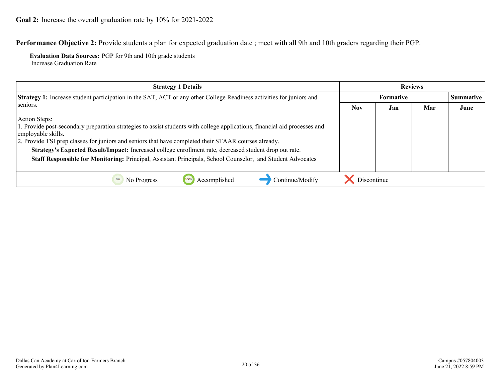**Performance Objective 2:** Provide students a plan for expected graduation date ; meet with all 9th and 10th graders regarding their PGP.

**Evaluation Data Sources:** PGP for 9th and 10th grade students Increase Graduation Rate

| <b>Strategy 1 Details</b>                                                                                                                                                                                                                                                                                                                                                                                                                                                                         | <b>Reviews</b>   |     |     |                  |
|---------------------------------------------------------------------------------------------------------------------------------------------------------------------------------------------------------------------------------------------------------------------------------------------------------------------------------------------------------------------------------------------------------------------------------------------------------------------------------------------------|------------------|-----|-----|------------------|
| <b>Strategy 1:</b> Increase student participation in the SAT, ACT or any other College Readiness activities for juniors and                                                                                                                                                                                                                                                                                                                                                                       | <b>Formative</b> |     |     | <b>Summative</b> |
| seniors.                                                                                                                                                                                                                                                                                                                                                                                                                                                                                          | <b>Nov</b>       | Jan | Mar | June             |
| Action Steps:<br>1. Provide post-secondary preparation strategies to assist students with college applications, financial aid processes and<br>employable skills.<br>2. Provide TSI prep classes for juniors and seniors that have completed their STAAR courses already.<br>Strategy's Expected Result/Impact: Increased college enrollment rate, decreased student drop out rate.<br>Staff Responsible for Monitoring: Principal, Assistant Principals, School Counselor, and Student Advocates |                  |     |     |                  |
| Accomplished<br>Continue/Modify<br>No Progress                                                                                                                                                                                                                                                                                                                                                                                                                                                    | Discontinue      |     |     |                  |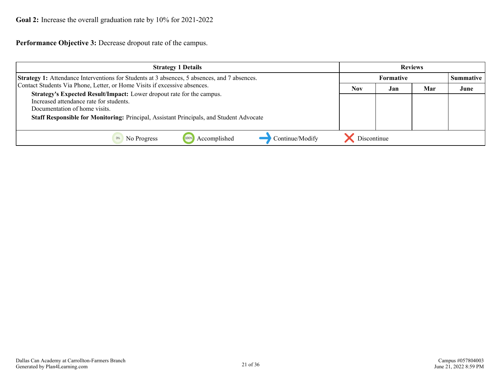**Performance Objective 3:** Decrease dropout rate of the campus.

| <b>Strategy 1 Details</b>                                                                                                                                                                                                                    | <b>Reviews</b>   |     |     |                  |
|----------------------------------------------------------------------------------------------------------------------------------------------------------------------------------------------------------------------------------------------|------------------|-----|-----|------------------|
| <b>Strategy 1:</b> Attendance Interventions for Students at 3 absences, 5 absences, and 7 absences.                                                                                                                                          | <b>Formative</b> |     |     | <b>Summative</b> |
| Contact Students Via Phone, Letter, or Home Visits if excessive absences.                                                                                                                                                                    | <b>Nov</b>       | Jan | Mar | June             |
| Strategy's Expected Result/Impact: Lower dropout rate for the campus.<br>Increased attendance rate for students.<br>Documentation of home visits.<br>Staff Responsible for Monitoring: Principal, Assistant Principals, and Student Advocate |                  |     |     |                  |
| Continue/Modify<br>Accomplished<br>No Progress                                                                                                                                                                                               | Discontinue      |     |     |                  |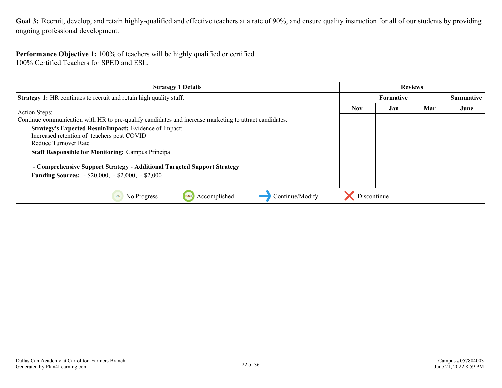<span id="page-21-0"></span>Goal 3: Recruit, develop, and retain highly-qualified and effective teachers at a rate of 90%, and ensure quality instruction for all of our students by providing ongoing professional development.

#### **Performance Objective 1:** 100% of teachers will be highly qualified or certified 100% Certified Teachers for SPED and ESL.

| <b>Strategy 1 Details</b>                                                                                                           | <b>Reviews</b> |     |     |           |
|-------------------------------------------------------------------------------------------------------------------------------------|----------------|-----|-----|-----------|
| <b>Strategy 1:</b> HR continues to recruit and retain high quality staff.                                                           | Formative      |     |     | Summative |
| Action Steps:                                                                                                                       | <b>Nov</b>     | Jan | Mar | June      |
| Continue communication with HR to pre-qualify candidates and increase marketing to attract candidates.                              |                |     |     |           |
| Strategy's Expected Result/Impact: Evidence of Impact:<br>Increased retention of teachers post COVID<br>Reduce Turnover Rate        |                |     |     |           |
| <b>Staff Responsible for Monitoring: Campus Principal</b>                                                                           |                |     |     |           |
| - Comprehensive Support Strategy - Additional Targeted Support Strategy<br><b>Funding Sources:</b> - \$20,000, - \$2,000, - \$2,000 |                |     |     |           |
| Continue/Modify<br>Accomplished<br>0%<br>No Progress<br>100%                                                                        | Discontinue    |     |     |           |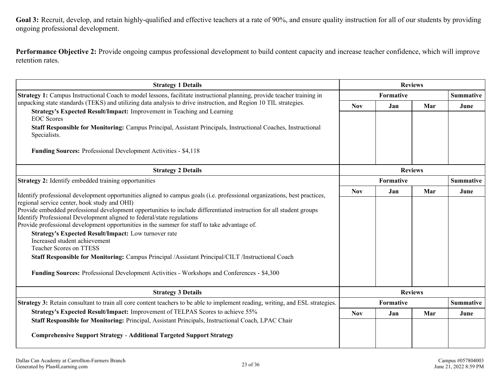Goal 3: Recruit, develop, and retain highly-qualified and effective teachers at a rate of 90%, and ensure quality instruction for all of our students by providing ongoing professional development.

**Performance Objective 2:** Provide ongoing campus professional development to build content capacity and increase teacher confidence, which will improve retention rates.

| <b>Strategy 1 Details</b>                                                                                                                                              |                | <b>Reviews</b> |                |                  |
|------------------------------------------------------------------------------------------------------------------------------------------------------------------------|----------------|----------------|----------------|------------------|
| Strategy 1: Campus Instructional Coach to model lessons, facilitate instructional planning, provide teacher training in                                                | Formative      |                |                | <b>Summative</b> |
| unpacking state standards (TEKS) and utilizing data analysis to drive instruction, and Region 10 TIL strategies.                                                       | <b>Nov</b>     | Jan            | Mar            | June             |
| Strategy's Expected Result/Impact: Improvement in Teaching and Learning<br><b>EOC</b> Scores                                                                           |                |                |                |                  |
| <b>Staff Responsible for Monitoring:</b> Campus Principal, Assistant Principals, Instructional Coaches, Instructional<br>Specialists.                                  |                |                |                |                  |
| <b>Funding Sources: Professional Development Activities - \$4,118</b>                                                                                                  |                |                |                |                  |
| <b>Strategy 2 Details</b>                                                                                                                                              | <b>Reviews</b> |                |                |                  |
| Strategy 2: Identify embedded training opportunities                                                                                                                   | Formative      |                |                | <b>Summative</b> |
| Identify professional development opportunities aligned to campus goals (i.e. professional organizations, best practices,                                              | <b>Nov</b>     | Jan            | Mar            | June             |
| regional service center, book study and OHI)                                                                                                                           |                |                |                |                  |
| Provide embedded professional development opportunities to include differentiated instruction for all student groups                                                   |                |                |                |                  |
| Identify Professional Development aligned to federal/state regulations<br>Provide professional development opportunities in the summer for staff to take advantage of. |                |                |                |                  |
| Strategy's Expected Result/Impact: Low turnover rate                                                                                                                   |                |                |                |                  |
| Increased student achievement                                                                                                                                          |                |                |                |                  |
| <b>Teacher Scores on TTESS</b>                                                                                                                                         |                |                |                |                  |
| Staff Responsible for Monitoring: Campus Principal /Assistant Principal/CILT /Instructional Coach                                                                      |                |                |                |                  |
| <b>Funding Sources:</b> Professional Development Activities - Workshops and Conferences - \$4,300                                                                      |                |                |                |                  |
| <b>Strategy 3 Details</b>                                                                                                                                              |                |                | <b>Reviews</b> |                  |
| Strategy 3: Retain consultant to train all core content teachers to be able to implement reading, writing, and ESL strategies.                                         | Formative      |                |                | <b>Summative</b> |
| Strategy's Expected Result/Impact: Improvement of TELPAS Scores to achieve 55%                                                                                         | <b>Nov</b>     | Jan            | Mar            | June             |
| Staff Responsible for Monitoring: Principal, Assistant Principals, Instructional Coach, LPAC Chair                                                                     |                |                |                |                  |
| <b>Comprehensive Support Strategy - Additional Targeted Support Strategy</b>                                                                                           |                |                |                |                  |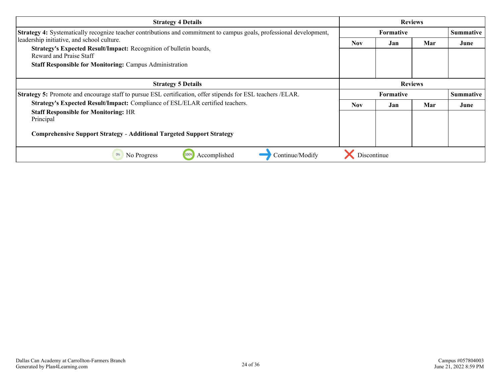| <b>Strategy 4 Details</b>                                                                                                   | <b>Reviews</b>   |                  |     |           |
|-----------------------------------------------------------------------------------------------------------------------------|------------------|------------------|-----|-----------|
| <b>Strategy 4:</b> Systematically recognize teacher contributions and commitment to campus goals, professional development, | <b>Formative</b> |                  |     | Summative |
| leadership initiative, and school culture.                                                                                  | <b>Nov</b>       | Jan              | Mar | June      |
| Strategy's Expected Result/Impact: Recognition of bulletin boards,<br>Reward and Praise Staff                               |                  |                  |     |           |
| <b>Staff Responsible for Monitoring: Campus Administration</b>                                                              |                  |                  |     |           |
| <b>Strategy 5 Details</b>                                                                                                   |                  | <b>Reviews</b>   |     |           |
| Strategy 5: Promote and encourage staff to pursue ESL certification, offer stipends for ESL teachers /ELAR.                 |                  | <b>Formative</b> |     | Summative |
| Strategy's Expected Result/Impact: Compliance of ESL/ELAR certified teachers.                                               | <b>Nov</b>       | Jan              | Mar | June      |
| <b>Staff Responsible for Monitoring: HR</b>                                                                                 |                  |                  |     |           |
| Principal                                                                                                                   |                  |                  |     |           |
| <b>Comprehensive Support Strategy - Additional Targeted Support Strategy</b>                                                |                  |                  |     |           |
| Accomplished<br>Continue/Modify<br>0%<br>No Progress<br>100%                                                                | Discontinue      |                  |     |           |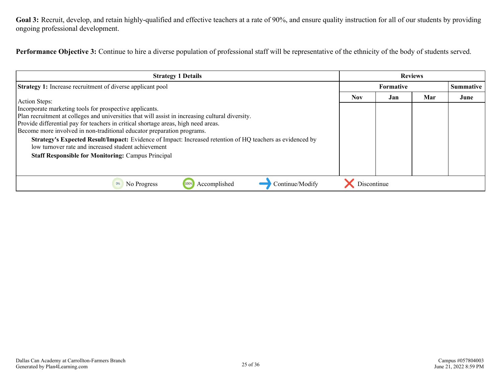Goal 3: Recruit, develop, and retain highly-qualified and effective teachers at a rate of 90%, and ensure quality instruction for all of our students by providing ongoing professional development.

**Performance Objective 3:** Continue to hire a diverse population of professional staff will be representative of the ethnicity of the body of students served.

| <b>Strategy 1 Details</b>                                                                                                                                                                                                                                                                                                                                                                                                                                                                                                                                    |                  | <b>Reviews</b> |           |      |
|--------------------------------------------------------------------------------------------------------------------------------------------------------------------------------------------------------------------------------------------------------------------------------------------------------------------------------------------------------------------------------------------------------------------------------------------------------------------------------------------------------------------------------------------------------------|------------------|----------------|-----------|------|
| <b>Strategy 1:</b> Increase recruitment of diverse applicant pool                                                                                                                                                                                                                                                                                                                                                                                                                                                                                            | <b>Formative</b> |                | Summative |      |
| <b>Action Steps:</b>                                                                                                                                                                                                                                                                                                                                                                                                                                                                                                                                         | <b>Nov</b>       | Jan            | Mar       | June |
| Incorporate marketing tools for prospective applicants.<br>Plan recruitment at colleges and universities that will assist in increasing cultural diversity.<br>Provide differential pay for teachers in critical shortage areas, high need areas.<br>Become more involved in non-traditional educator preparation programs.<br>Strategy's Expected Result/Impact: Evidence of Impact: Increased retention of HQ teachers as evidenced by<br>low turnover rate and increased student achievement<br><b>Staff Responsible for Monitoring: Campus Principal</b> |                  |                |           |      |
| Accomplished<br>Continue/Modify<br>No Progress<br>100%                                                                                                                                                                                                                                                                                                                                                                                                                                                                                                       | Discontinue      |                |           |      |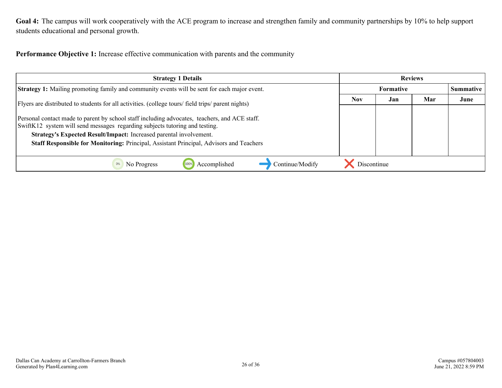<span id="page-25-0"></span>Goal 4: The campus will work cooperatively with the ACE program to increase and strengthen family and community partnerships by 10% to help support students educational and personal growth.

**Performance Objective 1:** Increase effective communication with parents and the community

| <b>Strategy 1 Details</b>                                                                                                                                                                                                                                                                                                                     |             |     | <b>Reviews</b> |      |
|-----------------------------------------------------------------------------------------------------------------------------------------------------------------------------------------------------------------------------------------------------------------------------------------------------------------------------------------------|-------------|-----|----------------|------|
| <b>Strategy 1:</b> Mailing promoting family and community events will be sent for each major event.                                                                                                                                                                                                                                           | Formative   |     | Summative      |      |
| Flyers are distributed to students for all activities. (college tours/ field trips/ parent nights)                                                                                                                                                                                                                                            |             | Jan | Mar            | June |
| Personal contact made to parent by school staff including advocates, teachers, and ACE staff.<br>SwiftK12 system will send messages regarding subjects tutoring and testing.<br>Strategy's Expected Result/Impact: Increased parental involvement.<br>Staff Responsible for Monitoring: Principal, Assistant Principal, Advisors and Teachers |             |     |                |      |
| Accomplished<br>Continue/Modify<br>No Progress                                                                                                                                                                                                                                                                                                | Discontinue |     |                |      |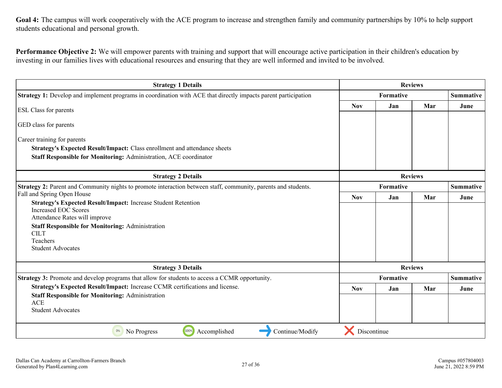Goal 4: The campus will work cooperatively with the ACE program to increase and strengthen family and community partnerships by 10% to help support students educational and personal growth.

**Performance Objective 2:** We will empower parents with training and support that will encourage active participation in their children's education by investing in our families lives with educational resources and ensuring that they are well informed and invited to be involved.

| <b>Strategy 1 Details</b>                                                                                      | <b>Reviews</b>   |     |                  |                  |
|----------------------------------------------------------------------------------------------------------------|------------------|-----|------------------|------------------|
| Strategy 1: Develop and implement programs in coordination with ACE that directly impacts parent participation | <b>Formative</b> |     | <b>Summative</b> |                  |
| ESL Class for parents                                                                                          |                  | Jan | Mar              | June             |
|                                                                                                                |                  |     |                  |                  |
| GED class for parents                                                                                          |                  |     |                  |                  |
| Career training for parents                                                                                    |                  |     |                  |                  |
| Strategy's Expected Result/Impact: Class enrollment and attendance sheets                                      |                  |     |                  |                  |
| Staff Responsible for Monitoring: Administration, ACE coordinator                                              |                  |     |                  |                  |
| <b>Strategy 2 Details</b>                                                                                      | <b>Reviews</b>   |     |                  |                  |
| Strategy 2: Parent and Community nights to promote interaction between staff, community, parents and students. | <b>Formative</b> |     |                  | <b>Summative</b> |
| Fall and Spring Open House                                                                                     | <b>Nov</b>       | Jan | Mar              | June             |
| <b>Strategy's Expected Result/Impact: Increase Student Retention</b>                                           |                  |     |                  |                  |
| <b>Increased EOC Scores</b><br>Attendance Rates will improve                                                   |                  |     |                  |                  |
| <b>Staff Responsible for Monitoring: Administration</b>                                                        |                  |     |                  |                  |
| <b>CILT</b>                                                                                                    |                  |     |                  |                  |
| Teachers                                                                                                       |                  |     |                  |                  |
| <b>Student Advocates</b>                                                                                       |                  |     |                  |                  |
|                                                                                                                |                  |     |                  |                  |
| <b>Strategy 3 Details</b>                                                                                      | <b>Reviews</b>   |     |                  |                  |
| Strategy 3: Promote and develop programs that allow for students to access a CCMR opportunity.                 | <b>Formative</b> |     |                  | <b>Summative</b> |
| Strategy's Expected Result/Impact: Increase CCMR certifications and license.                                   | <b>Nov</b>       | Jan | Mar              | June             |
| <b>Staff Responsible for Monitoring: Administration</b><br><b>ACE</b><br><b>Student Advocates</b>              |                  |     |                  |                  |
|                                                                                                                |                  |     |                  |                  |
|                                                                                                                |                  |     |                  |                  |
| 100%<br>Accomplished<br>Continue/Modify<br>0%<br>No Progress                                                   | Discontinue      |     |                  |                  |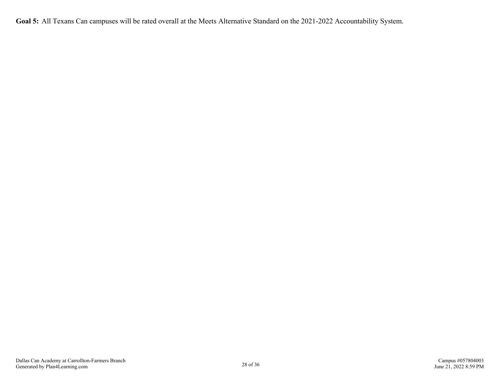<span id="page-27-0"></span>**Goal 5:** All Texans Can campuses will be rated overall at the Meets Alternative Standard on the 2021-2022 Accountability System.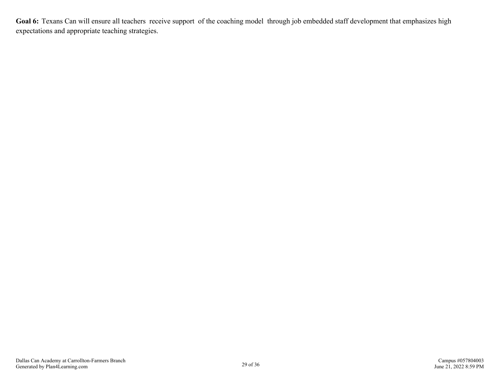<span id="page-28-0"></span>Goal 6: Texans Can will ensure all teachers receive support of the coaching model through job embedded staff development that emphasizes high expectations and appropriate teaching strategies.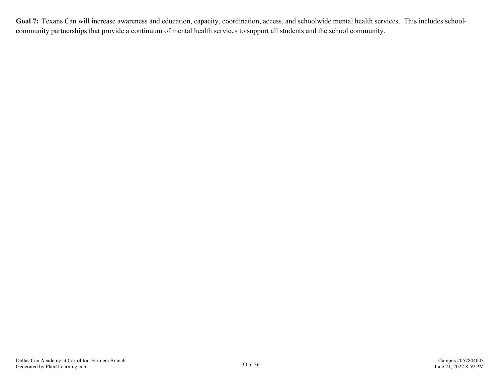<span id="page-29-0"></span>Goal 7: Texans Can will increase awareness and education, capacity, coordination, access, and schoolwide mental health services. This includes schoolcommunity partnerships that provide a continuum of mental health services to support all students and the school community.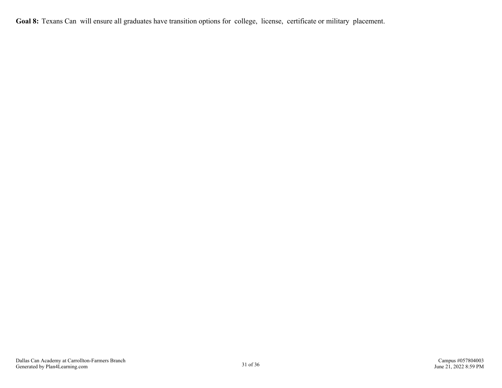<span id="page-30-0"></span>**Goal 8:** Texans Can will ensure all graduates have transition options for college, license, certificate or military placement.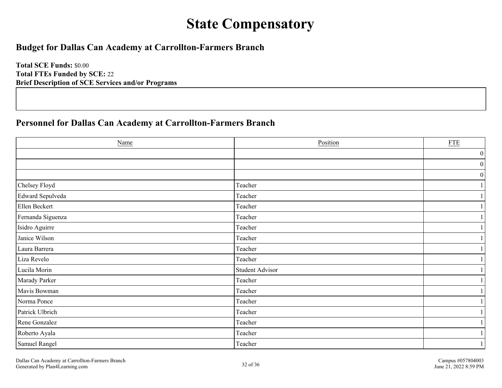## **State Compensatory**

## <span id="page-31-0"></span>**Budget for Dallas Can Academy at Carrollton-Farmers Branch**

**Total SCE Funds:** \$0.00 **Total FTEs Funded by SCE:** 22 **Brief Description of SCE Services and/or Programs**

## **Personnel for Dallas Can Academy at Carrollton-Farmers Branch**

| Name              | Position               | $\underline{\text{FTE}}$ |
|-------------------|------------------------|--------------------------|
|                   |                        | $\boldsymbol{0}$         |
|                   |                        | 0                        |
|                   |                        | 0                        |
| Chelsey Floyd     | Teacher                |                          |
| Edward Sepulveda  | Teacher                |                          |
| Ellen Beckert     | Teacher                |                          |
| Fernanda Siguenza | Teacher                |                          |
| Isidro Aguirre    | Teacher                |                          |
| Janice Wilson     | Teacher                | $\mathbf{1}$             |
| Laura Barrera     | Teacher                |                          |
| Liza Revelo       | Teacher                |                          |
| Lucila Morin      | <b>Student Advisor</b> |                          |
| Marady Parker     | Teacher                |                          |
| Mavis Bowman      | Teacher                |                          |
| Norma Ponce       | Teacher                |                          |
| Patrick Ulbrich   | Teacher                |                          |
| Rene Gonzalez     | Teacher                |                          |
| Roberto Ayala     | Teacher                |                          |
| Samuel Rangel     | Teacher                |                          |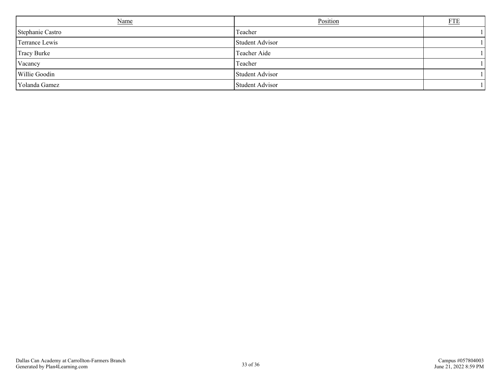| <b>Name</b>      | Position        | ${\underline{\rm FTE}}$ |
|------------------|-----------------|-------------------------|
| Stephanie Castro | Teacher         |                         |
| Terrance Lewis   | Student Advisor |                         |
| Tracy Burke      | Teacher Aide    |                         |
| Vacancy          | Teacher         |                         |
| Willie Goodin    | Student Advisor |                         |
| Yolanda Gamez    | Student Advisor |                         |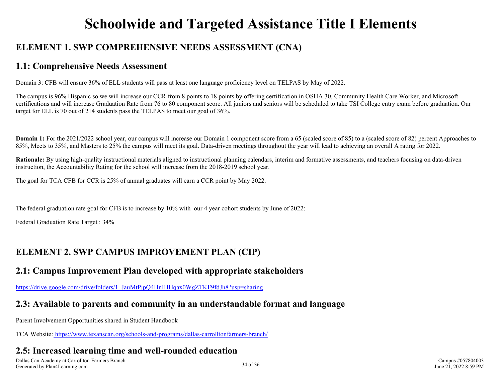## **Schoolwide and Targeted Assistance Title I Elements**

## <span id="page-33-0"></span>**ELEMENT 1. SWP COMPREHENSIVE NEEDS ASSESSMENT (CNA)**

## **1.1: Comprehensive Needs Assessment**

Domain 3: CFB will ensure 36% of ELL students will pass at least one language proficiency level on TELPAS by May of 2022.

The campus is 96% Hispanic so we will increase our CCR from 8 points to 18 points by offering certification in OSHA 30, Community Health Care Worker, and Microsoft certifications and will increase Graduation Rate from 76 to 80 component score. All juniors and seniors will be scheduled to take TSI College entry exam before graduation. Our target for ELL is 70 out of 214 students pass the TELPAS to meet our goal of 36%.

**Domain 1:** For the 2021/2022 school year, our campus will increase our Domain 1 component score from a 65 (scaled score of 85) to a (scaled score of 82) percent Approaches to 85%, Meets to 35%, and Masters to 25% the campus will meet its goal. Data-driven meetings throughout the year will lead to achieving an overall A rating for 2022.

**Rationale:** By using high-quality instructional materials aligned to instructional planning calendars, interim and formative assessments, and teachers focusing on data-driven instruction, the Accountability Rating for the school will increase from the 2018-2019 school year.

The goal for TCA CFB for CCR is 25% of annual graduates will earn a CCR point by May 2022.

The federal graduation rate goal for CFB is to increase by 10% with our 4 year cohort students by June of 2022:

Federal Graduation Rate Target : 34%

## **ELEMENT 2. SWP CAMPUS IMPROVEMENT PLAN (CIP)**

## **2.1: Campus Improvement Plan developed with appropriate stakeholders**

[https://drive.google.com/drive/folders/1\\_JauMtPjpQ4HnIHHqax0WgZTKF9fdJh8?usp=sharing](https://drive.google.com/drive/folders/1_JauMtPjpQ4HnIHHqax0WgZTKF9fdJh8?usp=sharing)

## **2.3: Available to parents and community in an understandable format and language**

Parent Involvement Opportunities shared in Student Handbook

TCA Website:<https://www.texanscan.org/schools-and-programs/dallas-carrolltonfarmers-branch/>

## **2.5: Increased learning time and well-rounded education**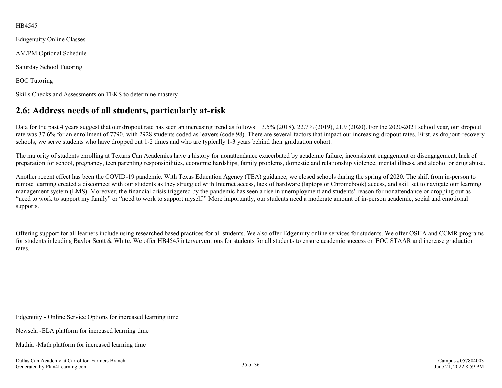#### <span id="page-34-0"></span>HB4545

Edugenuity Online Classes AM/PM Optional Schedule Saturday School Tutoring EOC Tutoring Skills Checks and Assessments on TEKS to determine mastery

## **2.6: Address needs of all students, particularly at-risk**

Data for the past 4 years suggest that our dropout rate has seen an increasing trend as follows: 13.5% (2018), 22.7% (2019), 21.9 (2020). For the 2020-2021 school year, our dropout rate was 37.6% for an enrollment of 7790, with 2928 students coded as leavers (code 98). There are several factors that impact our increasing dropout rates. First, as dropout-recovery schools, we serve students who have dropped out 1-2 times and who are typically 1-3 years behind their graduation cohort.

The majority of students enrolling at Texans Can Academies have a history for nonattendance exacerbated by academic failure, inconsistent engagement or disengagement, lack of preparation for school, pregnancy, teen parenting responsibilities, economic hardships, family problems, domestic and relationship violence, mental illness, and alcohol or drug abuse.

Another recent effect has been the COVID-19 pandemic. With Texas Education Agency (TEA) guidance, we closed schools during the spring of 2020. The shift from in-person to remote learning created a disconnect with our students as they struggled with Internet access, lack of hardware (laptops or Chromebook) access, and skill set to navigate our learning management system (LMS). Moreover, the financial crisis triggered by the pandemic has seen a rise in unemployment and students' reason for nonattendance or dropping out as "need to work to support my family" or "need to work to support myself." More importantly, our students need a moderate amount of in-person academic, social and emotional supports.

Offering support for all learners include using researched based practices for all students. We also offer Edgenuity online services for students. We offer OSHA and CCMR programs for students inlcuding Baylor Scott & White. We offer HB4545 interverventions for students for all students to ensure academic success on EOC STAAR and increase graduation rates.

Edgenuity - Online Service Options for increased learning time

Newsela -ELA platform for increased learning time

Mathia -Math platform for increased learning time